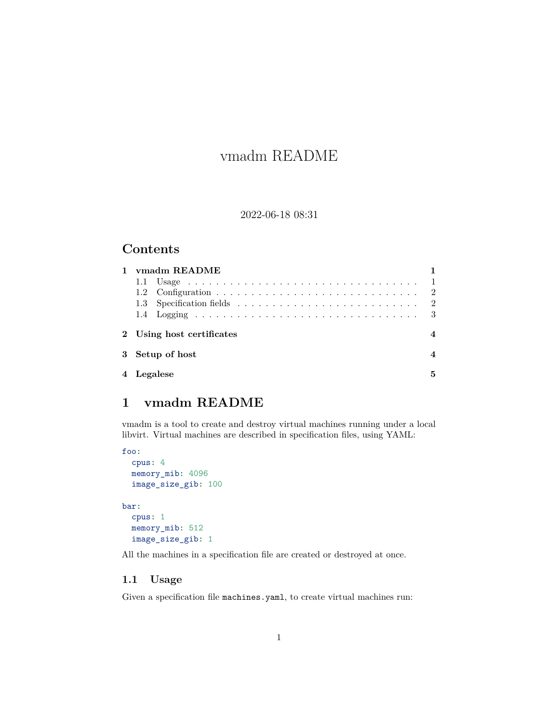# <span id="page-0-2"></span>vmadm README

#### 2022-06-18 08:31

### **Contents**

| ymadm README              |   |
|---------------------------|---|
|                           |   |
|                           |   |
|                           |   |
|                           |   |
| 2 Using host certificates |   |
| 3 Setup of host           |   |
| 4 Legalese                | 5 |

# <span id="page-0-0"></span>**1 vmadm README**

vmadm is a tool to create and destroy virtual machines running under a local libvirt. Virtual machines are described in specification files, using YAML:

```
foo:
 cpus: 4
 memory_mib: 4096
 image_size_gib: 100
bar:
 cpus: 1
 memory_mib: 512
  image_size_gib: 1
```
All the machines in a specification file are created or destroyed at once.

#### <span id="page-0-1"></span>**1.1 Usage**

Given a specification file machines.yaml, to create virtual machines run: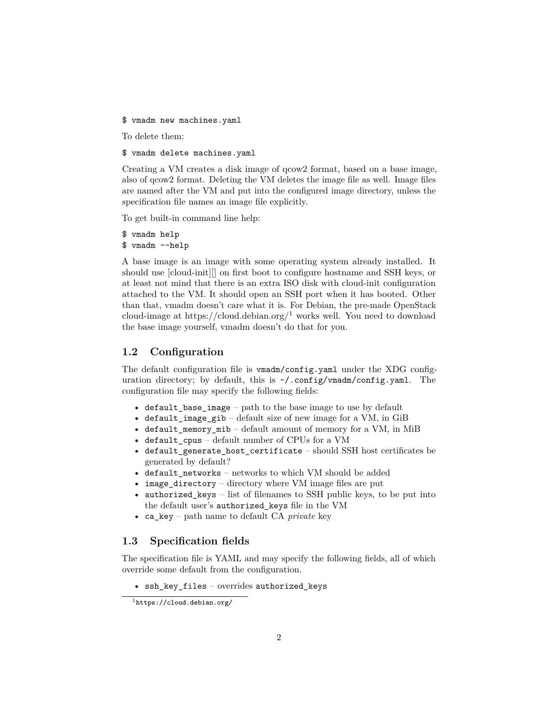\$ vmadm new machines.yaml

To delete them:

\$ vmadm delete machines.yaml

Creating a VM creates a disk image of qcow2 format, based on a base image, also of qcow2 format. Deleting the VM deletes the image file as well. Image files are named after the VM and put into the configured image directory, unless the specification file names an image file explicitly.

To get built-in command line help:

\$ vmadm help \$ vmadm --help

A base image is an image with some operating system already installed. It should use [cloud-init][] on first boot to configure hostname and SSH keys, or at least not mind that there is an extra ISO disk with cloud-init configuration attached to the VM. It should open an SSH port when it has booted. Other than that, vmadm doesn't care what it is. For Debian, the pre-made OpenStack cloud-image at https://cloud.debian.org/<sup>[1](#page-1-2)</sup> works well. You need to download the base image yourself, vmadm doesn't do that for you.

#### <span id="page-1-0"></span>**1.2 Configuration**

The default configuration file is vmadm/config.yaml under the XDG configuration directory; by default, this is  $\gamma$ .config/vmadm/config.yaml. The configuration file may specify the following fields:

- default\_base\_image path to the base image to use by default
- default image  $gib$  default size of new image for a VM, in GiB
- default\_memory\_mib default amount of memory for a VM, in MiB
- default cpus default number of CPUs for a VM
- default\_generate\_host\_certificate should SSH host certificates be generated by default?
- default\_networks networks to which VM should be added
- image\_directory directory where VM image files are put
- authorized\_keys list of filenames to SSH public keys, to be put into the default user's authorized\_keys file in the VM
- ca\_key path name to default CA *private* key

#### <span id="page-1-1"></span>**1.3 Specification fields**

The specification file is YAML and may specify the following fields, all of which override some default from the configuration.

• ssh\_key\_files – overrides authorized\_keys

<span id="page-1-2"></span><sup>1</sup><https://cloud.debian.org/>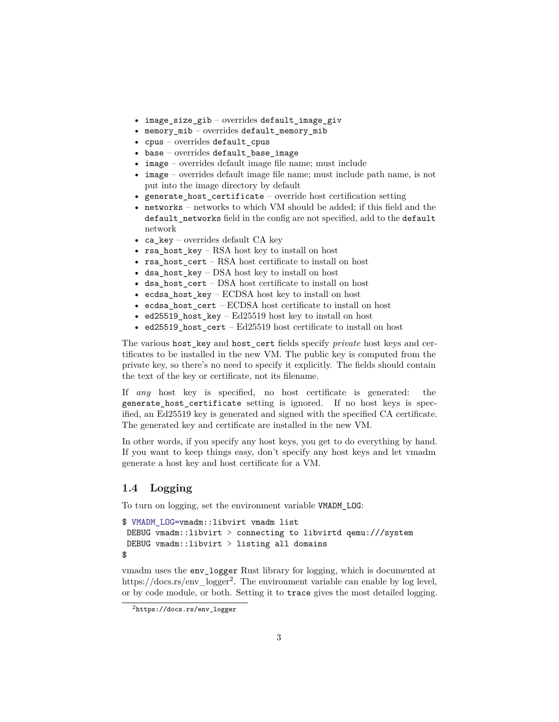- image\_size\_gib overrides default\_image\_giv
- memory\_mib overrides default\_memory\_mib
- cpus overrides default\_cpus
- base overrides default\_base\_image
- image overrides default image file name; must include
- image overrides default image file name; must include path name, is not put into the image directory by default
- generate\_host\_certificate override host certification setting
- networks networks to which VM should be added; if this field and the default networks field in the config are not specified, add to the default network
- ca\_key overrides default CA key
- rsa\_host\_key RSA host key to install on host
- rsa host cert RSA host certificate to install on host
- dsa\_host\_key DSA host key to install on host
- dsa host cert DSA host certificate to install on host
- ecdsa\_host\_key ECDSA host key to install on host
- ecdsa\_host\_cert ECDSA host certificate to install on host
- ed25519\_host\_key Ed25519 host key to install on host
- ed25519\_host\_cert Ed25519 host certificate to install on host

The various host\_key and host\_cert fields specify *private* host keys and certificates to be installed in the new VM. The public key is computed from the private key, so there's no need to specify it explicitly. The fields should contain the text of the key or certificate, not its filename.

If *any* host key is specified, no host certificate is generated: the generate host certificate setting is ignored. If no host keys is specified, an Ed25519 key is generated and signed with the specified CA certificate. The generated key and certificate are installed in the new VM.

In other words, if you specify any host keys, you get to do everything by hand. If you want to keep things easy, don't specify any host keys and let vmadm generate a host key and host certificate for a VM.

#### <span id="page-2-0"></span>**1.4 Logging**

To turn on logging, set the environment variable VMADM\_LOG:

```
$ VMADM_LOG=vmadm::libvirt vmadm list
DEBUG vmadm::libvirt > connecting to libvirtd qemu:///system
DEBUG vmadm::libvirt > listing all domains
$
```
vmadm uses the env\_logger Rust library for logging, which is documented at https://docs.rs/env\_logger[2](#page-2-1) . The environment variable can enable by log level, or by code module, or both. Setting it to trace gives the most detailed logging.

<span id="page-2-1"></span><sup>2</sup>[https://docs.rs/env\\_logger](https://docs.rs/env_logger)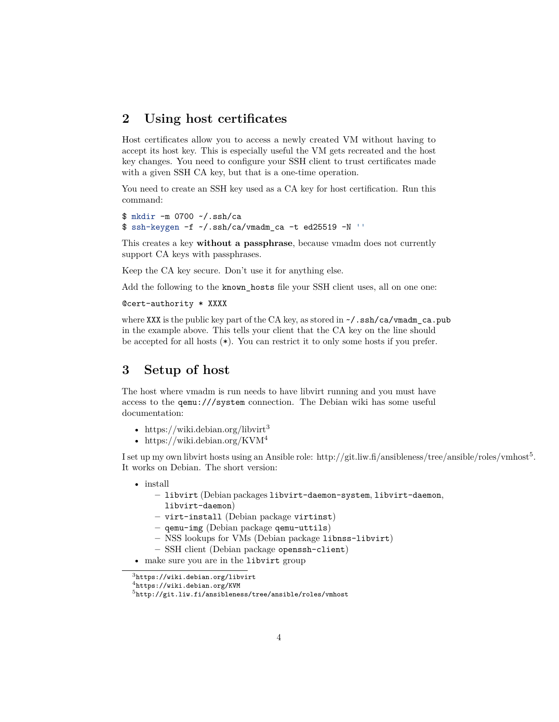### <span id="page-3-0"></span>**2 Using host certificates**

Host certificates allow you to access a newly created VM without having to accept its host key. This is especially useful the VM gets recreated and the host key changes. You need to configure your SSH client to trust certificates made with a given SSH CA key, but that is a one-time operation.

You need to create an SSH key used as a CA key for host certification. Run this command:

```
$ mkdir -m 0700 ~/.ssh/ca
$ ssh-keygen -f \sim/.ssh/ca/vmadm ca -t ed25519 -N ''
```
This creates a key **without a passphrase**, because vmadm does not currently support CA keys with passphrases.

Keep the CA key secure. Don't use it for anything else.

Add the following to the known\_hosts file your SSH client uses, all on one one:

#### @cert-authority \* XXXX

where XXX is the public key part of the CA key, as stored in  $\sim$ /.ssh/ca/vmadm ca.pub in the example above. This tells your client that the CA key on the line should be accepted for all hosts (\*). You can restrict it to only some hosts if you prefer.

## <span id="page-3-1"></span>**3 Setup of host**

The host where vmadm is run needs to have libvirt running and you must have access to the qemu:///system connection. The Debian wiki has some useful documentation:

- https://wiki.debian.org/libvirt<sup>[3](#page-3-2)</sup>
- https://wiki.debian.org/KVM<sup>[4](#page-3-3)</sup>

I set up my own libvirt hosts using an Ansible role: http://git.liw.fi/ansibleness/tree/ansible/roles/vmhost<sup>[5](#page-3-4)</sup>. It works on Debian. The short version:

- install
	- **–** libvirt (Debian packages libvirt-daemon-system, libvirt-daemon, libvirt-daemon)
	- **–** virt-install (Debian package virtinst)
	- **–** qemu-img (Debian package qemu-uttils)
	- **–** NSS lookups for VMs (Debian package libnss-libvirt)
	- **–** SSH client (Debian package openssh-client)
- make sure you are in the libvirt group

<span id="page-3-2"></span><sup>3</sup><https://wiki.debian.org/libvirt>

<span id="page-3-3"></span><sup>4</sup><https://wiki.debian.org/KVM>

<span id="page-3-4"></span><sup>5</sup><http://git.liw.fi/ansibleness/tree/ansible/roles/vmhost>